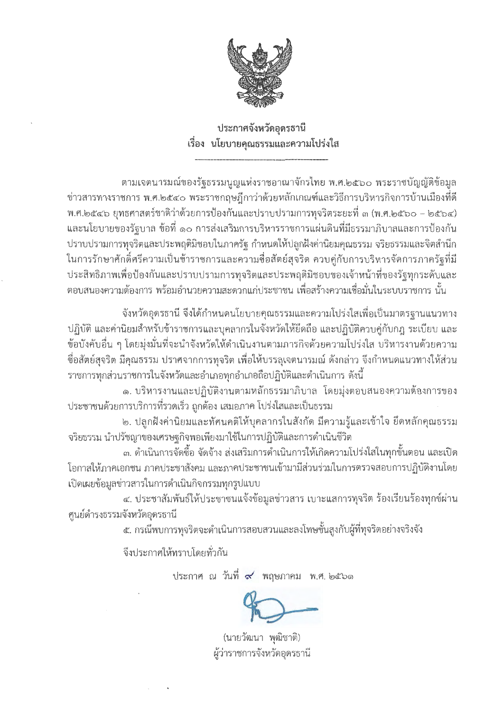

ประกาศจังหวัดอุดรธานี เรื่อง นโยบายคุณธรรมและความโปร่งใส

ตามเจตนารมณ์ของรัฐธรรมนูญแห่งราชอาณาจักรไทย พ.ศ.๒๕๖๐ พระราชบัญญัติข้อมูล ข่าวสารทางราชการ พ.ศ.๒๕๔๐ พระราชกฤษฎีกาว่าด้วยหลักเกณฑ์และวิธีการบริหารกิจการบ้านเมืองที่ดี พ.ศ.๒๕๔๖ ยุทธศาสตร์ชาติว่าด้วยการป้องกันและปราบปรามการทุจริตระยะที่ ๓ (พ.ศ.๒๕๖๐ – ๒๕๖๔) และนโยบายของรัฐบาล ข้อที่ ๑๐ การส่งเสริมการบริหารราชการแผ่นดินที่มีธรรมาภิบาลและการป้องกัน ปราบปรามการทุจริตและประพฤติมิชอบในภาครัฐ กำหนดให้ปลูกฝังค่านิยมคุณธรรม จริยธรรมและจิตสำนึก ในการรักษาศักดิ์ศรีความเป็นข้าราชการและความซื่อสัตย์สุจริต ควบคู่กับการบริหารจัดการภาครัฐที่มี ประสิทธิภาพเพื่อป้องกันและปราบปรามการทุจริตและประพฤติมิชอบของเจ้าหน้าที่ของรัฐทุกระดับและ ตอบสนองความต้องการ พร้อมอำนวยความสะดวกแก่ประชาชน เพื่อสร้างความเชื่อมั่นในระบบราชการ นั้น

้จังหวัดอุดรธานี จึงได้กำหนดนโยบายคุณธรรมและความโปร่งใสเพื่อเป็นมาตรฐานแนวทาง ปฏิบัติ และค่านิยมสำหรับข้าราชการและบุคลากรในจังหวัดให้ยึดถือ และปฏิบัติควบคู่กับกฎ ระเบียบ และ ข้อบังคับอื่น ๆ โดยมุ่งมั่นที่จะนำจังหวัดให้ดำเนินงานตามภารกิจด้วยความโปร่งใส บริหารงานด้วยความ ชื่อสัตย์สุจริต มีคุณธรรม ปราศจากการทุจริต เพื่อให้บรรลุเจตนารมณ์ ดังกล่าว จึงกำหนดแนวทางให้ส่วน ี ราชการทุกส่วนราชการในจังหวัดและอำเภอทุกอำเภอถือปฏิบัติและดำเนินการ ดังนี้

๑. บริหารงานและปฏิบัติงานตามหลักธรรมาภิบาล โดยมุ่งตอบสนองความต้องการของ ประชาชนด้วยการบริการที่รวดเร็ว ถูกต้อง เสมอภาค โปร่งใสและเป็นธรรม

๒. ปลูกฝังค่านิยมและทัศนคติให้บุคลากรในสังกัด มีความรู้และเข้าใจ ยึดหลักคุณธรรม ้จริยธรรม นำปรัชญาของเศรษฐกิจพอเพียงมาใช้ในการปฏิบัติและการดำเนินชีวิต

ี ๓. ดำเนินการจัดซื้อ จัดจ้าง ส่งเสริมการดำเนินการให้เกิดความโปร่งใสในทุกขั้นตอน และเปิด โอกาสให้ภาคเอกชน ภาคประชาสังคม และภาคประชาชนเข้ามามีส่วนร่วมในการตรวจสอบการปฏิบัติงานโดย เปิดเผยข้อมูลข่าวสารในการดำเนินกิจกรรมทุกรูปแบบ

๔. ประชาสัมพันธ์ให้ประชาชนแจ้งข้อมูลข่าวสาร เบาะแสการทุจริต ร้องเรียนร้องทุกข์ผ่าน ศูนย์ดำรงธรรมจังหวัดอุดรธานี

ึ ๕. กรณีพบการทุจริตจะดำเนินการสอบสวนและลงโทษขั้นสูงกับผู้ที่ทุจริตอย่างจริงจัง

จึงประกาศให้ทราบโดยทั่วกัน

ประกาศ ณ วันที่ ๙ พฤษภาคม พ.ศ. ๒๕๖๑

(นายวัฒนา พุฒิชาติ) ผู้ว่าราชการจังหวัดอุดรธานี